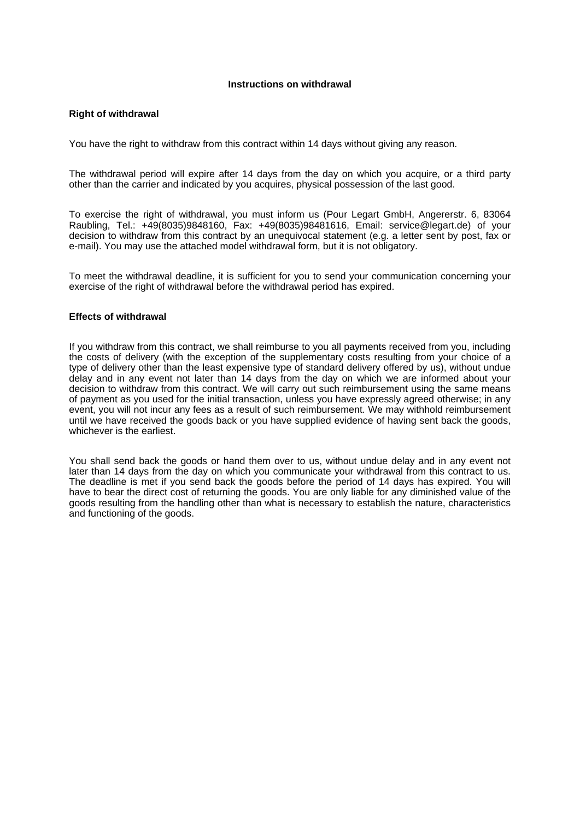## **Instructions on withdrawal**

## **Right of withdrawal**

You have the right to withdraw from this contract within 14 days without giving any reason.

The withdrawal period will expire after 14 days from the day on which you acquire, or a third party other than the carrier and indicated by you acquires, physical possession of the last good.

To exercise the right of withdrawal, you must inform us (Pour Legart GmbH, Angererstr. 6, 83064 Raubling, Tel.: +49(8035)9848160, Fax: +49(8035)98481616, Email: service@legart.de) of your decision to withdraw from this contract by an unequivocal statement (e.g. a letter sent by post, fax or e-mail). You may use the attached model withdrawal form, but it is not obligatory.

To meet the withdrawal deadline, it is sufficient for you to send your communication concerning your exercise of the right of withdrawal before the withdrawal period has expired.

## **Effects of withdrawal**

If you withdraw from this contract, we shall reimburse to you all payments received from you, including the costs of delivery (with the exception of the supplementary costs resulting from your choice of a type of delivery other than the least expensive type of standard delivery offered by us), without undue delay and in any event not later than 14 days from the day on which we are informed about your decision to withdraw from this contract. We will carry out such reimbursement using the same means of payment as you used for the initial transaction, unless you have expressly agreed otherwise; in any event, you will not incur any fees as a result of such reimbursement. We may withhold reimbursement until we have received the goods back or you have supplied evidence of having sent back the goods, whichever is the earliest.

You shall send back the goods or hand them over to us, without undue delay and in any event not later than 14 days from the day on which you communicate your withdrawal from this contract to us. The deadline is met if you send back the goods before the period of 14 days has expired. You will have to bear the direct cost of returning the goods. You are only liable for any diminished value of the goods resulting from the handling other than what is necessary to establish the nature, characteristics and functioning of the goods.